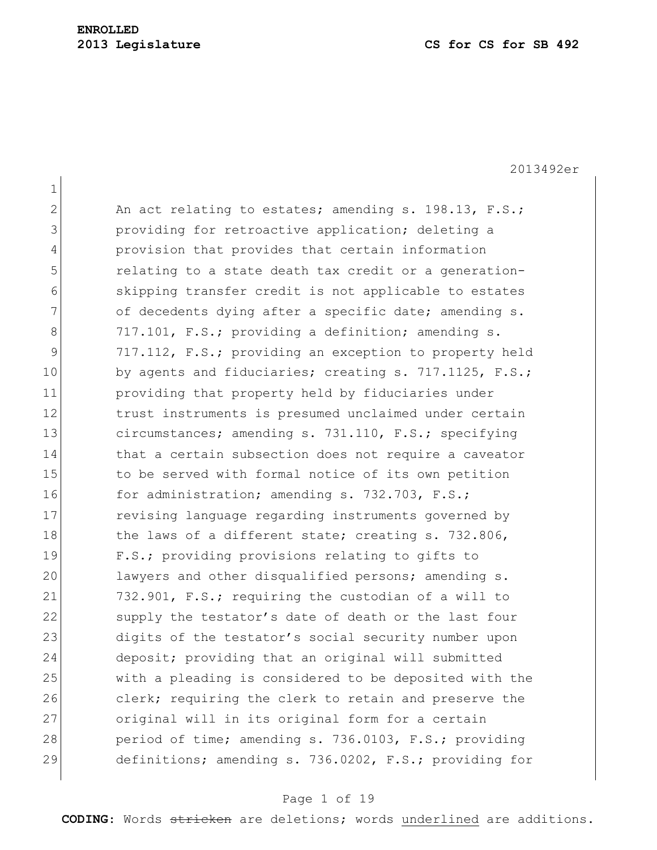2013492er

| $\mathbf{1}$ |                                                        |
|--------------|--------------------------------------------------------|
| $\mathbf{2}$ | An act relating to estates; amending s. 198.13, F.S.;  |
| 3            | providing for retroactive application; deleting a      |
| 4            | provision that provides that certain information       |
| 5            | relating to a state death tax credit or a generation-  |
| 6            | skipping transfer credit is not applicable to estates  |
| 7            | of decedents dying after a specific date; amending s.  |
| 8            | 717.101, F.S.; providing a definition; amending s.     |
| 9            | 717.112, F.S.; providing an exception to property held |
| 10           | by agents and fiduciaries; creating s. 717.1125, F.S.; |
| 11           | providing that property held by fiduciaries under      |
| 12           | trust instruments is presumed unclaimed under certain  |
| 13           | circumstances; amending s. 731.110, F.S.; specifying   |
| 14           | that a certain subsection does not require a caveator  |
| 15           | to be served with formal notice of its own petition    |
| 16           | for administration; amending s. 732.703, F.S.;         |
| 17           | revising language regarding instruments governed by    |
| 18           | the laws of a different state; creating s. 732.806,    |
| 19           | F.S.; providing provisions relating to gifts to        |
| 20           | lawyers and other disqualified persons; amending s.    |
| 21           | 732.901, F.S.; requiring the custodian of a will to    |
| 22           | supply the testator's date of death or the last four   |
| 23           | digits of the testator's social security number upon   |
| 24           | deposit; providing that an original will submitted     |
| 25           | with a pleading is considered to be deposited with the |
| 26           | clerk; requiring the clerk to retain and preserve the  |
| 27           | original will in its original form for a certain       |
| 28           | period of time; amending s. 736.0103, F.S.; providing  |
| 29           | definitions; amending s. 736.0202, F.S.; providing for |

# Page 1 of 19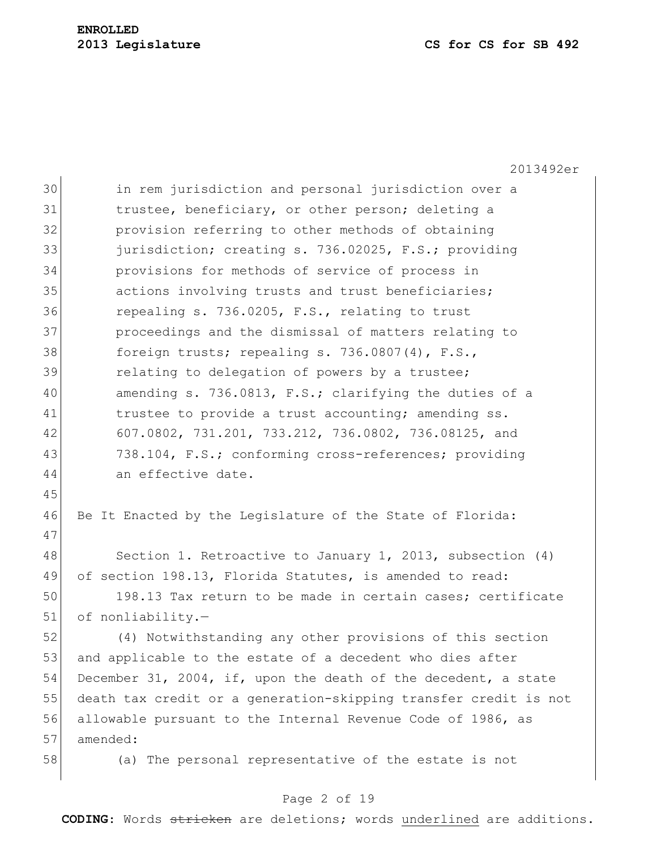2013492er 30 in rem jurisdiction and personal jurisdiction over a 31 trustee, beneficiary, or other person; deleting a 32 **provision referring to other methods of obtaining** 33 jurisdiction; creating s. 736.02025, F.S.; providing 34 provisions for methods of service of process in 35 actions involving trusts and trust beneficiaries; 36 repealing s. 736.0205, F.S., relating to trust 37 proceedings and the dismissal of matters relating to 38 foreign trusts; repealing s. 736.0807(4), F.S., 39 relating to delegation of powers by a trustee; 40 amending s. 736.0813, F.S.; clarifying the duties of a 41 trustee to provide a trust accounting; amending ss. 42 607.0802, 731.201, 733.212, 736.0802, 736.08125, and 43 738.104, F.S.; conforming cross-references; providing 44 an effective date. 45 46 Be It Enacted by the Legislature of the State of Florida: 47 48 Section 1. Retroactive to January 1, 2013, subsection (4) 49 of section 198.13, Florida Statutes, is amended to read: 50 198.13 Tax return to be made in certain cases; certificate 51 of nonliability.-52 (4) Notwithstanding any other provisions of this section 53 and applicable to the estate of a decedent who dies after 54 December 31, 2004, if, upon the death of the decedent, a state 55 death tax credit or a generation-skipping transfer credit is not 56 allowable pursuant to the Internal Revenue Code of 1986, as 57 amended: 58 (a) The personal representative of the estate is not

## Page 2 of 19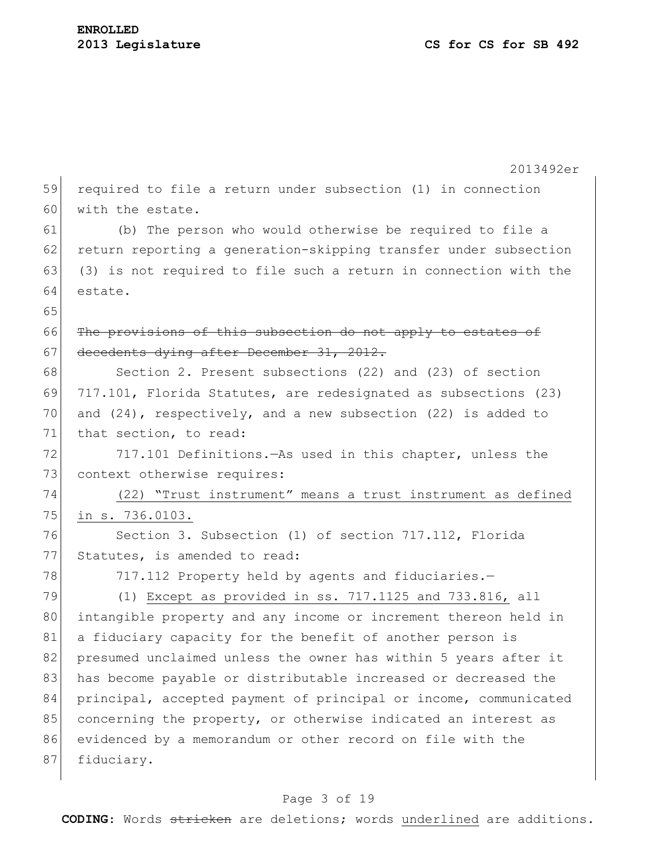|    | 2013492er                                                          |
|----|--------------------------------------------------------------------|
| 59 | required to file a return under subsection (1) in connection       |
| 60 | with the estate.                                                   |
| 61 | (b) The person who would otherwise be required to file a           |
| 62 | return reporting a generation-skipping transfer under subsection   |
| 63 | (3) is not required to file such a return in connection with the   |
| 64 | estate.                                                            |
| 65 |                                                                    |
| 66 | The provisions of this subsection do not apply to estates of       |
| 67 | decedents dying after December 31, 2012.                           |
| 68 | Section 2. Present subsections (22) and (23) of section            |
| 69 | 717.101, Florida Statutes, are redesignated as subsections (23)    |
| 70 | and $(24)$ , respectively, and a new subsection $(22)$ is added to |
| 71 | that section, to read:                                             |
| 72 | 717.101 Definitions. - As used in this chapter, unless the         |
| 73 | context otherwise requires:                                        |
| 74 | (22) "Trust instrument" means a trust instrument as defined        |
| 75 | in s. 736.0103.                                                    |
| 76 | Section 3. Subsection (1) of section 717.112, Florida              |
| 77 | Statutes, is amended to read:                                      |
| 78 | 717.112 Property held by agents and fiduciaries.-                  |
| 79 | $(1)$ Except as provided in ss. 717.1125 and 733.816, all          |
| 80 | intangible property and any income or increment thereon held in    |
| 81 | a fiduciary capacity for the benefit of another person is          |
| 82 | presumed unclaimed unless the owner has within 5 years after it    |
| 83 | has become payable or distributable increased or decreased the     |
| 84 | principal, accepted payment of principal or income, communicated   |
| 85 | concerning the property, or otherwise indicated an interest as     |
| 86 | evidenced by a memorandum or other record on file with the         |
| 87 | fiduciary.                                                         |
|    |                                                                    |

# Page 3 of 19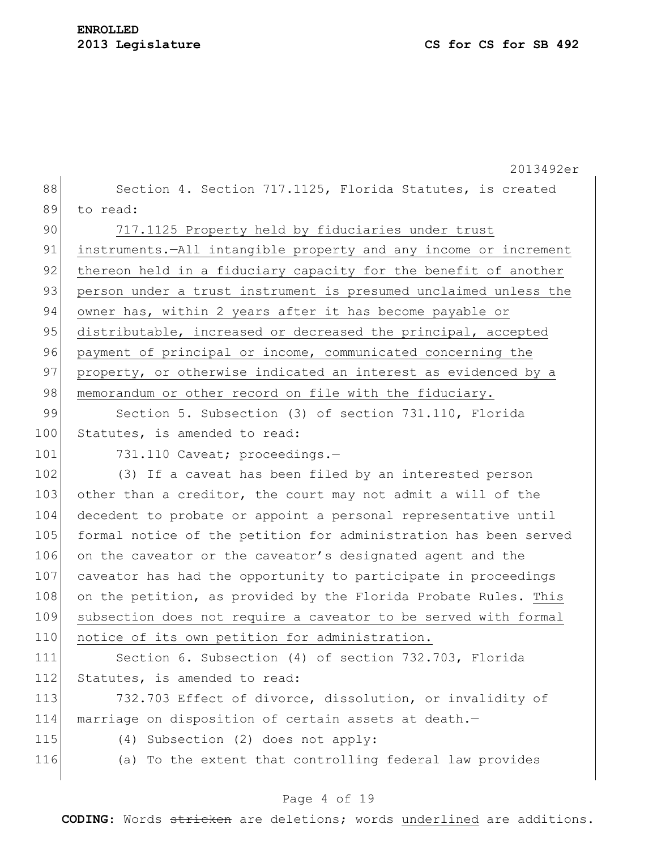|     | 2013492er                                                          |
|-----|--------------------------------------------------------------------|
| 88  | Section 4. Section 717.1125, Florida Statutes, is created          |
| 89  | to read:                                                           |
| 90  | 717.1125 Property held by fiduciaries under trust                  |
| 91  | instruments. - All intangible property and any income or increment |
| 92  | thereon held in a fiduciary capacity for the benefit of another    |
| 93  | person under a trust instrument is presumed unclaimed unless the   |
| 94  | owner has, within 2 years after it has become payable or           |
| 95  | distributable, increased or decreased the principal, accepted      |
| 96  | payment of principal or income, communicated concerning the        |
| 97  | property, or otherwise indicated an interest as evidenced by a     |
| 98  | memorandum or other record on file with the fiduciary.             |
| 99  | Section 5. Subsection (3) of section 731.110, Florida              |
| 100 | Statutes, is amended to read:                                      |
| 101 | 731.110 Caveat; proceedings.-                                      |
| 102 | (3) If a caveat has been filed by an interested person             |
| 103 | other than a creditor, the court may not admit a will of the       |
| 104 | decedent to probate or appoint a personal representative until     |
| 105 | formal notice of the petition for administration has been served   |
| 106 | on the caveator or the caveator's designated agent and the         |
| 107 | caveator has had the opportunity to participate in proceedings     |
| 108 | on the petition, as provided by the Florida Probate Rules. This    |
| 109 | subsection does not require a caveator to be served with formal    |
| 110 | notice of its own petition for administration.                     |
| 111 | Section 6. Subsection (4) of section 732.703, Florida              |
| 112 | Statutes, is amended to read:                                      |
| 113 | 732.703 Effect of divorce, dissolution, or invalidity of           |
| 114 | marriage on disposition of certain assets at death.-               |
| 115 | (4) Subsection (2) does not apply:                                 |
| 116 | (a) To the extent that controlling federal law provides            |

# Page 4 of 19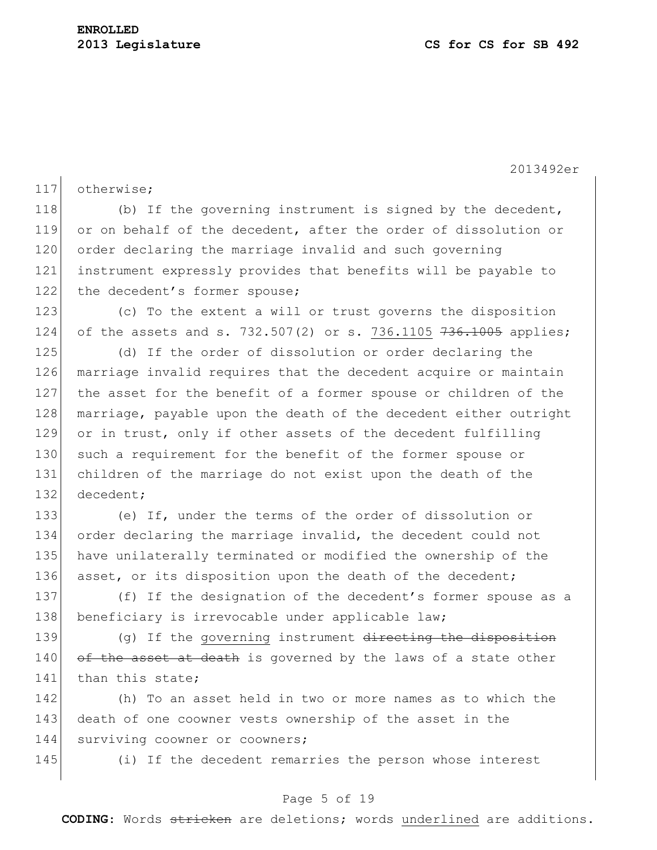2013492er

117 otherwise;

118 (b) If the governing instrument is signed by the decedent, 119 or on behalf of the decedent, after the order of dissolution or 120 order declaring the marriage invalid and such governing 121 instrument expressly provides that benefits will be payable to 122 the decedent's former spouse;

123 (c) To the extent a will or trust governs the disposition 124 of the assets and s. 732.507(2) or s. 736.1105  $736.1005$  applies;

125 (d) If the order of dissolution or order declaring the 126 marriage invalid requires that the decedent acquire or maintain 127 the asset for the benefit of a former spouse or children of the 128 marriage, payable upon the death of the decedent either outright 129 or in trust, only if other assets of the decedent fulfilling 130 such a requirement for the benefit of the former spouse or 131 children of the marriage do not exist upon the death of the 132 decedent:

 (e) If, under the terms of the order of dissolution or order declaring the marriage invalid, the decedent could not have unilaterally terminated or modified the ownership of the 136 asset, or its disposition upon the death of the decedent;

137 (f) If the designation of the decedent's former spouse as a 138 beneficiary is irrevocable under applicable law;

139 (g) If the governing instrument directing the disposition  $140$  of the asset at death is governed by the laws of a state other 141 than this state:

142 (h) To an asset held in two or more names as to which the 143 death of one coowner vests ownership of the asset in the 144 surviving coowner or coowners;

145 (i) If the decedent remarries the person whose interest

## Page 5 of 19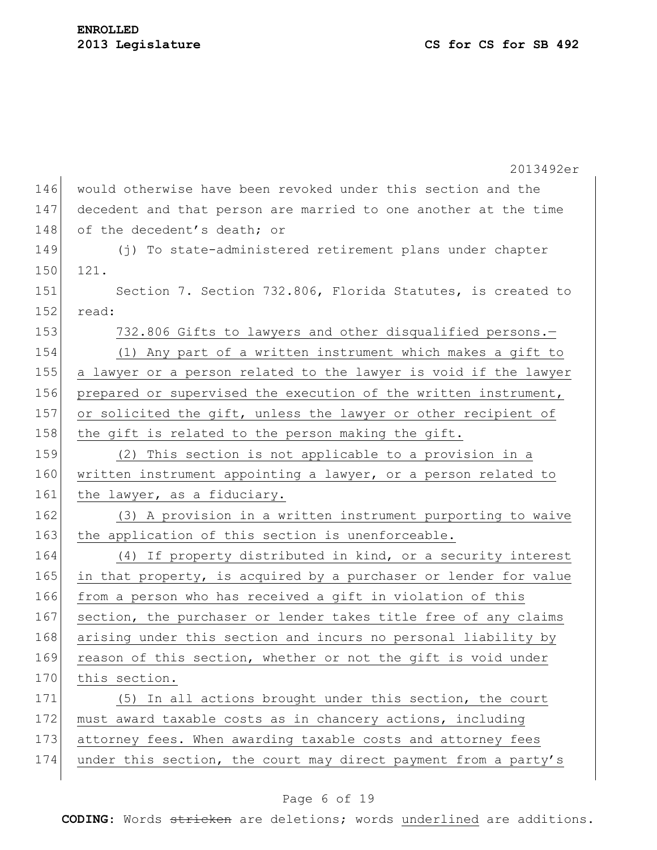2013492er 146 would otherwise have been revoked under this section and the 147 decedent and that person are married to one another at the time 148 of the decedent's death; or 149 (j) To state-administered retirement plans under chapter 150 121. 151 Section 7. Section 732.806, Florida Statutes, is created to 152 read: 153 732.806 Gifts to lawyers and other disqualified persons.-154 (1) Any part of a written instrument which makes a gift to 155 a lawyer or a person related to the lawyer is void if the lawyer 156 prepared or supervised the execution of the written instrument, 157 or solicited the gift, unless the lawyer or other recipient of 158 the gift is related to the person making the gift. 159 (2) This section is not applicable to a provision in a 160 written instrument appointing a lawyer, or a person related to 161 the lawyer, as a fiduciary. 162 (3) A provision in a written instrument purporting to waive 163 the application of this section is unenforceable. 164 (4) If property distributed in kind, or a security interest 165 in that property, is acquired by a purchaser or lender for value 166 from a person who has received a gift in violation of this 167 section, the purchaser or lender takes title free of any claims 168 arising under this section and incurs no personal liability by 169 reason of this section, whether or not the gift is void under 170 this section. 171 (5) In all actions brought under this section, the court 172 must award taxable costs as in chancery actions, including 173 attorney fees. When awarding taxable costs and attorney fees 174 under this section, the court may direct payment from a party's

## Page 6 of 19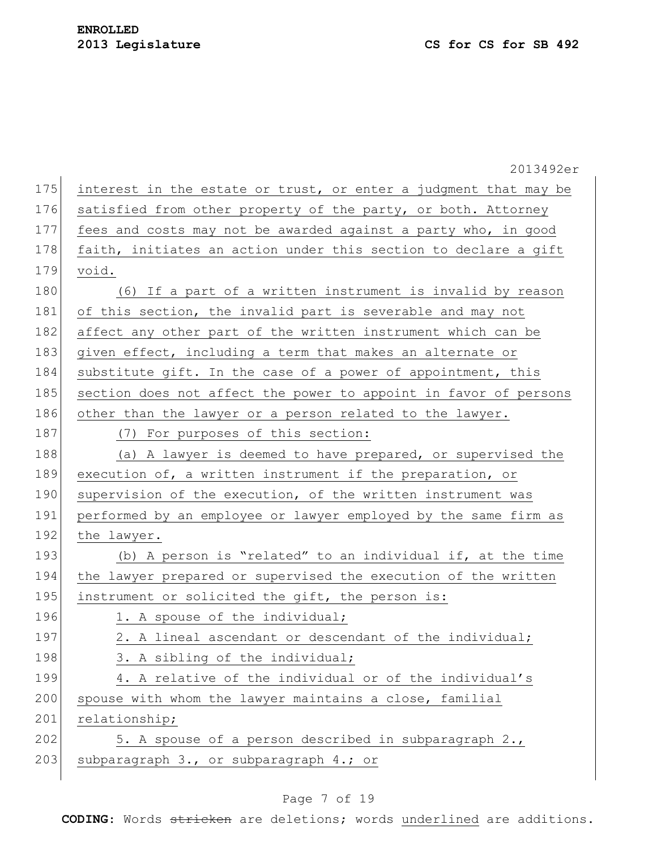|     | 2013492er                                                        |
|-----|------------------------------------------------------------------|
| 175 | interest in the estate or trust, or enter a judgment that may be |
| 176 | satisfied from other property of the party, or both. Attorney    |
| 177 | fees and costs may not be awarded against a party who, in good   |
| 178 | faith, initiates an action under this section to declare a gift  |
| 179 | void.                                                            |
| 180 | (6) If a part of a written instrument is invalid by reason       |
| 181 | of this section, the invalid part is severable and may not       |
| 182 | affect any other part of the written instrument which can be     |
| 183 | given effect, including a term that makes an alternate or        |
| 184 | substitute gift. In the case of a power of appointment, this     |
| 185 | section does not affect the power to appoint in favor of persons |
| 186 | other than the lawyer or a person related to the lawyer.         |
| 187 | (7) For purposes of this section:                                |
| 188 | (a) A lawyer is deemed to have prepared, or supervised the       |
| 189 | execution of, a written instrument if the preparation, or        |
| 190 | supervision of the execution, of the written instrument was      |
| 191 | performed by an employee or lawyer employed by the same firm as  |
| 192 | the lawyer.                                                      |
| 193 | (b) A person is "related" to an individual if, at the time       |
| 194 | the lawyer prepared or supervised the execution of the written   |
| 195 | instrument or solicited the gift, the person is:                 |
| 196 | 1. A spouse of the individual;                                   |
| 197 | 2. A lineal ascendant or descendant of the individual;           |
| 198 | 3. A sibling of the individual;                                  |
| 199 | 4. A relative of the individual or of the individual's           |
| 200 | spouse with whom the lawyer maintains a close, familial          |
| 201 | relationship;                                                    |
| 202 | 5. A spouse of a person described in subparagraph 2.,            |
| 203 | subparagraph 3., or subparagraph 4.; or                          |
|     |                                                                  |

# Page 7 of 19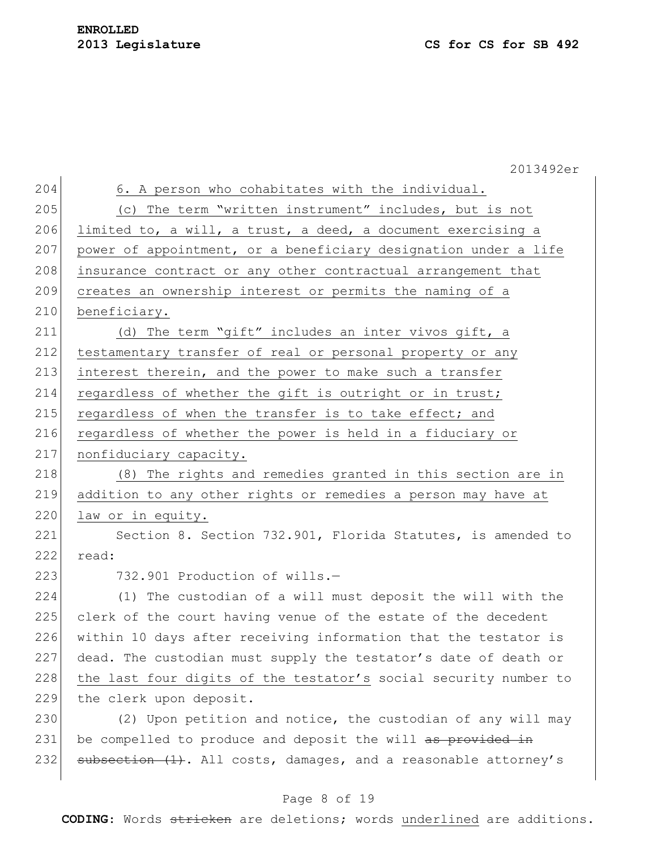|     | 2013492er                                                        |
|-----|------------------------------------------------------------------|
| 204 | 6. A person who cohabitates with the individual.                 |
| 205 | (c) The term "written instrument" includes, but is not           |
| 206 | limited to, a will, a trust, a deed, a document exercising a     |
| 207 | power of appointment, or a beneficiary designation under a life  |
| 208 | insurance contract or any other contractual arrangement that     |
| 209 | creates an ownership interest or permits the naming of a         |
| 210 | beneficiary.                                                     |
| 211 | (d) The term "gift" includes an inter vivos gift, a              |
| 212 | testamentary transfer of real or personal property or any        |
| 213 | interest therein, and the power to make such a transfer          |
| 214 | regardless of whether the gift is outright or in trust;          |
| 215 | regardless of when the transfer is to take effect; and           |
| 216 | regardless of whether the power is held in a fiduciary or        |
| 217 | nonfiduciary capacity.                                           |
| 218 | (8) The rights and remedies granted in this section are in       |
| 219 | addition to any other rights or remedies a person may have at    |
| 220 | law or in equity.                                                |
| 221 | Section 8. Section 732.901, Florida Statutes, is amended to      |
| 222 | read:                                                            |
| 223 | 732.901 Production of wills.-                                    |
| 224 | (1) The custodian of a will must deposit the will with the       |
| 225 | clerk of the court having venue of the estate of the decedent    |
| 226 | within 10 days after receiving information that the testator is  |
| 227 | dead. The custodian must supply the testator's date of death or  |
| 228 | the last four digits of the testator's social security number to |
| 229 | the clerk upon deposit.                                          |
| 230 | (2) Upon petition and notice, the custodian of any will may      |
| 231 | be compelled to produce and deposit the will as provided in      |
| 232 | subsection (1). All costs, damages, and a reasonable attorney's  |
|     |                                                                  |

# Page 8 of 19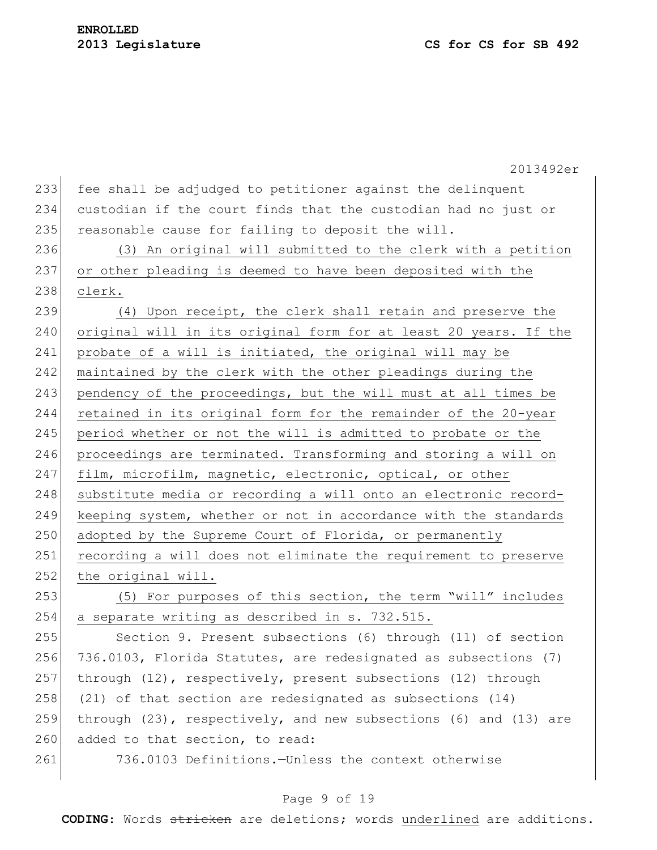2013492er 233 fee shall be adjudged to petitioner against the delinquent 234 custodian if the court finds that the custodian had no just or 235 reasonable cause for failing to deposit the will. 236 (3) An original will submitted to the clerk with a petition 237 or other pleading is deemed to have been deposited with the 238 clerk. 239 (4) Upon receipt, the clerk shall retain and preserve the 240 original will in its original form for at least 20 years. If the 241 probate of a will is initiated, the original will may be 242 maintained by the clerk with the other pleadings during the 243 pendency of the proceedings, but the will must at all times be 244 retained in its original form for the remainder of the 20-year 245 period whether or not the will is admitted to probate or the 246 proceedings are terminated. Transforming and storing a will on 247 film, microfilm, magnetic, electronic, optical, or other 248 substitute media or recording a will onto an electronic record-249 keeping system, whether or not in accordance with the standards 250 adopted by the Supreme Court of Florida, or permanently 251 recording a will does not eliminate the requirement to preserve 252 the original will. 253 (5) For purposes of this section, the term "will" includes 254 a separate writing as described in s. 732.515. 255 Section 9. Present subsections (6) through (11) of section 256 736.0103, Florida Statutes, are redesignated as subsections (7) 257 through (12), respectively, present subsections (12) through 258 (21) of that section are redesignated as subsections  $(14)$ 259 through (23), respectively, and new subsections (6) and (13) are 260 added to that section, to read: 261 736.0103 Definitions.—Unless the context otherwise

## Page 9 of 19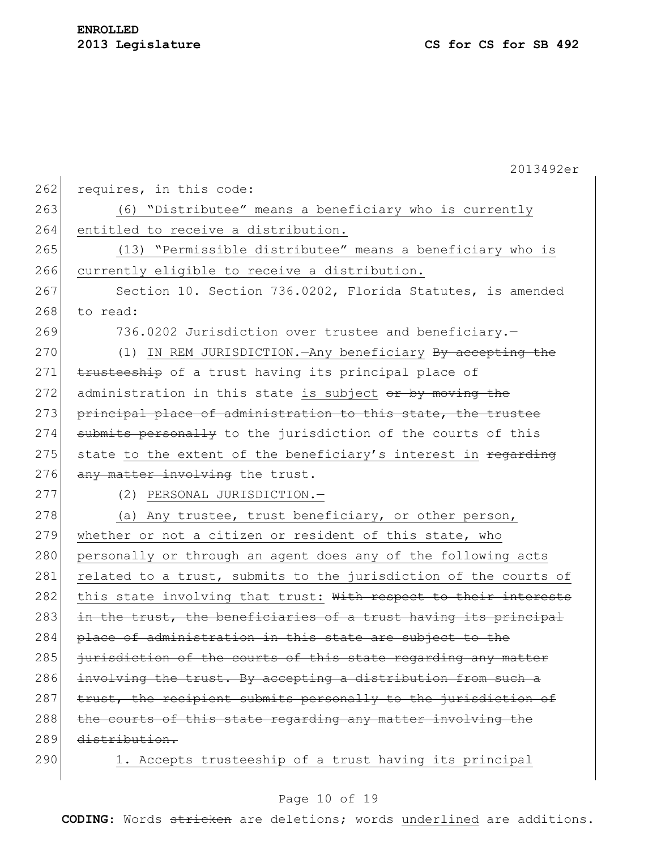|     | 2013492er                                                        |
|-----|------------------------------------------------------------------|
| 262 | requires, in this code:                                          |
| 263 | (6) "Distributee" means a beneficiary who is currently           |
| 264 | entitled to receive a distribution.                              |
| 265 | (13) "Permissible distributee" means a beneficiary who is        |
| 266 | currently eligible to receive a distribution.                    |
| 267 | Section 10. Section 736.0202, Florida Statutes, is amended       |
| 268 | to read:                                                         |
| 269 | 736.0202 Jurisdiction over trustee and beneficiary.-             |
| 270 | (1) IN REM JURISDICTION. Any beneficiary By accepting the        |
| 271 | trusteeship of a trust having its principal place of             |
| 272 | administration in this state is subject or by moving the         |
| 273 | principal place of administration to this state, the trustee     |
| 274 | submits personally to the jurisdiction of the courts of this     |
| 275 | state to the extent of the beneficiary's interest in regarding   |
| 276 | any matter involving the trust.                                  |
| 277 | (2) PERSONAL JURISDICTION.-                                      |
| 278 | (a) Any trustee, trust beneficiary, or other person,             |
| 279 | whether or not a citizen or resident of this state, who          |
| 280 | personally or through an agent does any of the following acts    |
| 281 | related to a trust, submits to the jurisdiction of the courts of |
| 282 | this state involving that trust: With respect to their interests |
| 283 | in the trust, the beneficiaries of a trust having its principal  |
| 284 | place of administration in this state are subject to the         |
| 285 | jurisdiction of the courts of this state regarding any matter    |
| 286 | involving the trust. By accepting a distribution from such a     |
| 287 | trust, the recipient submits personally to the jurisdiction of   |
| 288 | the courts of this state regarding any matter involving the      |
| 289 | distribution.                                                    |
| 290 | 1. Accepts trusteeship of a trust having its principal           |

# Page 10 of 19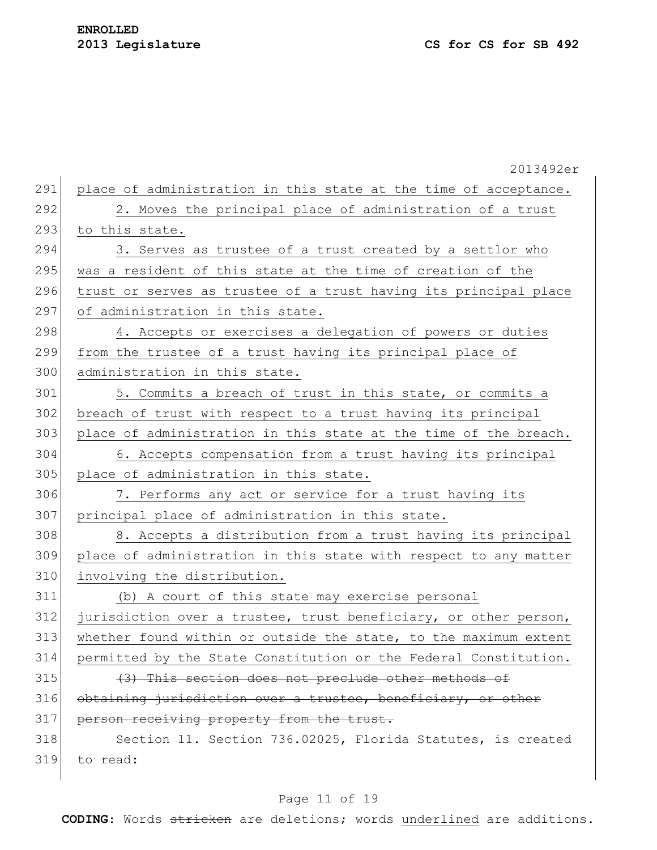|     | 2013492er                                                        |
|-----|------------------------------------------------------------------|
| 291 | place of administration in this state at the time of acceptance. |
| 292 | 2. Moves the principal place of administration of a trust        |
| 293 | to this state.                                                   |
| 294 | 3. Serves as trustee of a trust created by a settlor who         |
| 295 | was a resident of this state at the time of creation of the      |
| 296 | trust or serves as trustee of a trust having its principal place |
| 297 | of administration in this state.                                 |
| 298 | 4. Accepts or exercises a delegation of powers or duties         |
| 299 | from the trustee of a trust having its principal place of        |
| 300 | administration in this state.                                    |
| 301 | 5. Commits a breach of trust in this state, or commits a         |
| 302 | breach of trust with respect to a trust having its principal     |
| 303 | place of administration in this state at the time of the breach. |
| 304 | 6. Accepts compensation from a trust having its principal        |
| 305 | place of administration in this state.                           |
| 306 | 7. Performs any act or service for a trust having its            |
| 307 | principal place of administration in this state.                 |
| 308 | 8. Accepts a distribution from a trust having its principal      |
| 309 | place of administration in this state with respect to any matter |
| 310 | involving the distribution.                                      |
| 311 | (b) A court of this state may exercise personal                  |
| 312 | jurisdiction over a trustee, trust beneficiary, or other person, |
| 313 | whether found within or outside the state, to the maximum extent |
| 314 | permitted by the State Constitution or the Federal Constitution. |
| 315 | (3) This section does not preclude other methods of              |
| 316 | obtaining jurisdiction over a trustee, beneficiary, or other     |
| 317 | person receiving property from the trust.                        |
| 318 | Section 11. Section 736.02025, Florida Statutes, is created      |
| 319 | to read:                                                         |
|     |                                                                  |

# Page 11 of 19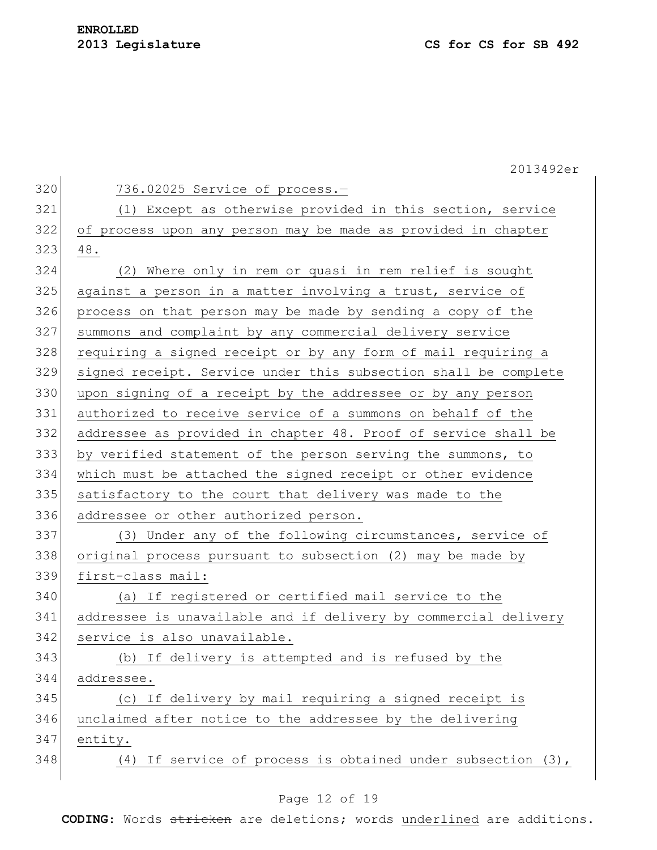2013492er 320 736.02025 Service of process.-321 (1) Except as otherwise provided in this section, service 322 of process upon any person may be made as provided in chapter 323 48. 324 (2) Where only in rem or quasi in rem relief is sought 325 against a person in a matter involving a trust, service of 326 process on that person may be made by sending a copy of the 327 summons and complaint by any commercial delivery service 328 requiring a signed receipt or by any form of mail requiring a 329 signed receipt. Service under this subsection shall be complete 330 upon signing of a receipt by the addressee or by any person 331 authorized to receive service of a summons on behalf of the 332 addressee as provided in chapter 48. Proof of service shall be 333 by verified statement of the person serving the summons, to 334 which must be attached the signed receipt or other evidence 335 satisfactory to the court that delivery was made to the 336 addressee or other authorized person. 337 (3) Under any of the following circumstances, service of 338 original process pursuant to subsection (2) may be made by 339 first-class mail: 340 (a) If registered or certified mail service to the 341 addressee is unavailable and if delivery by commercial delivery 342 service is also unavailable. 343 (b) If delivery is attempted and is refused by the 344 addressee. 345 (c) If delivery by mail requiring a signed receipt is 346 unclaimed after notice to the addressee by the delivering 347 entity. 348 (4) If service of process is obtained under subsection (3),

## Page 12 of 19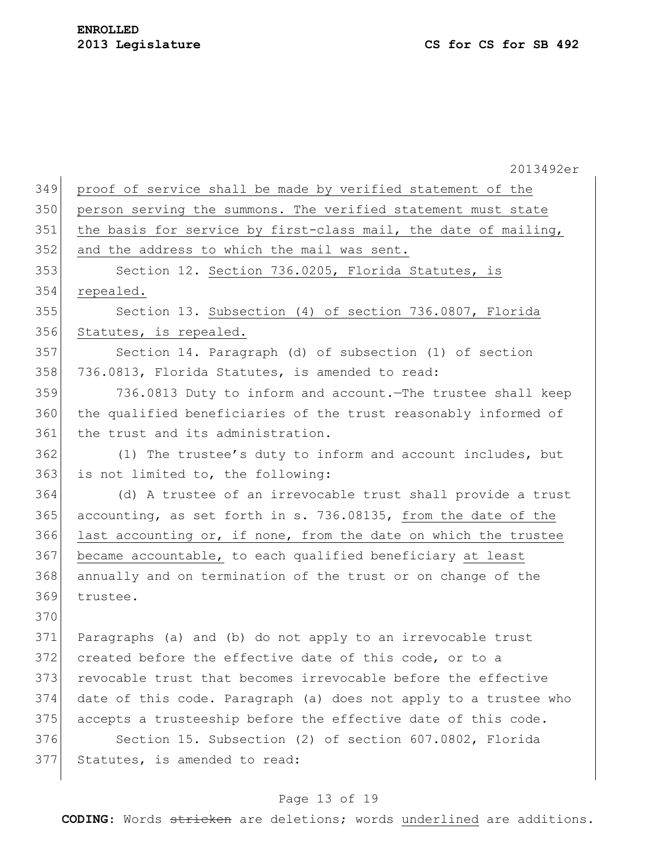|     | 2013492er                                                        |
|-----|------------------------------------------------------------------|
| 349 | proof of service shall be made by verified statement of the      |
| 350 | person serving the summons. The verified statement must state    |
| 351 | the basis for service by first-class mail, the date of mailing,  |
| 352 | and the address to which the mail was sent.                      |
| 353 | Section 12. Section 736.0205, Florida Statutes, is               |
| 354 | repealed.                                                        |
| 355 | Section 13. Subsection (4) of section 736.0807, Florida          |
| 356 | Statutes, is repealed.                                           |
| 357 | Section 14. Paragraph (d) of subsection (1) of section           |
| 358 | 736.0813, Florida Statutes, is amended to read:                  |
| 359 | 736.0813 Duty to inform and account. The trustee shall keep      |
| 360 | the qualified beneficiaries of the trust reasonably informed of  |
| 361 | the trust and its administration.                                |
| 362 | (1) The trustee's duty to inform and account includes, but       |
| 363 | is not limited to, the following:                                |
| 364 | (d) A trustee of an irrevocable trust shall provide a trust      |
| 365 | accounting, as set forth in s. 736.08135, from the date of the   |
| 366 | last accounting or, if none, from the date on which the trustee  |
| 367 | became accountable, to each qualified beneficiary at least       |
| 368 | annually and on termination of the trust or on change of the     |
| 369 | trustee.                                                         |
| 370 |                                                                  |
| 371 | Paragraphs (a) and (b) do not apply to an irrevocable trust      |
| 372 | created before the effective date of this code, or to a          |
| 373 | revocable trust that becomes irrevocable before the effective    |
| 374 | date of this code. Paragraph (a) does not apply to a trustee who |
| 375 | accepts a trusteeship before the effective date of this code.    |
| 376 | Section 15. Subsection (2) of section 607.0802, Florida          |
| 377 | Statutes, is amended to read:                                    |
|     |                                                                  |

# Page 13 of 19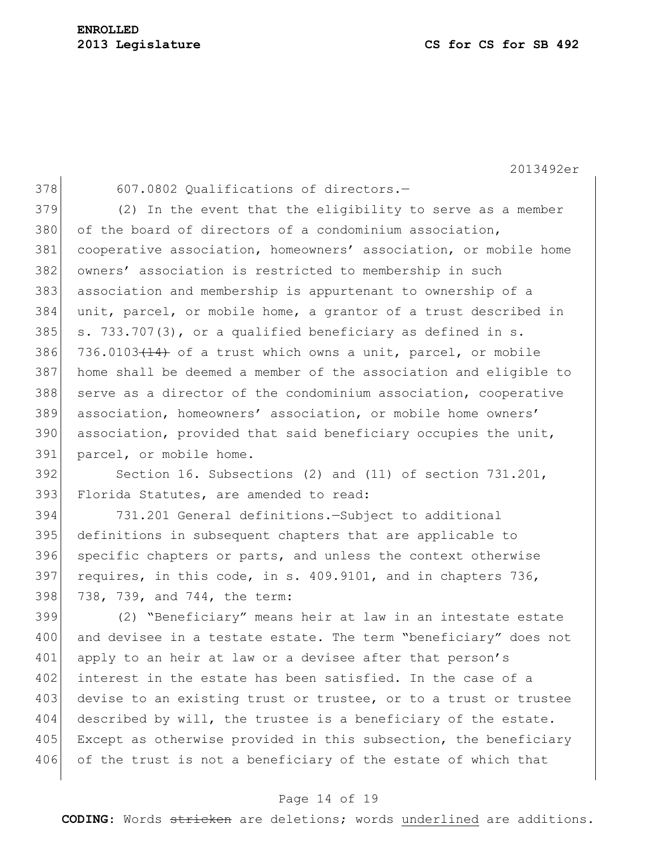2013492er

378 607.0802 Qualifications of directors. (2) In the event that the eligibility to serve as a member 380 of the board of directors of a condominium association, cooperative association, homeowners' association, or mobile home owners' association is restricted to membership in such association and membership is appurtenant to ownership of a unit, parcel, or mobile home, a grantor of a trust described in s. 733.707(3), or a qualified beneficiary as defined in s.  $736.0103(14)$  of a trust which owns a unit, parcel, or mobile home shall be deemed a member of the association and eligible to 388 serve as a director of the condominium association, cooperative association, homeowners' association, or mobile home owners' association, provided that said beneficiary occupies the unit, parcel, or mobile home. Section 16. Subsections (2) and (11) of section 731.201, 393 Florida Statutes, are amended to read: 731.201 General definitions.—Subject to additional definitions in subsequent chapters that are applicable to

396 specific chapters or parts, and unless the context otherwise 397 requires, in this code, in s. 409.9101, and in chapters  $736$ , 398 738, 739, and 744, the term:

399 (2) "Beneficiary" means heir at law in an intestate estate 400 and devisee in a testate estate. The term "beneficiary" does not 401 apply to an heir at law or a devisee after that person's 402 interest in the estate has been satisfied. In the case of a 403 devise to an existing trust or trustee, or to a trust or trustee 404 described by will, the trustee is a beneficiary of the estate. 405 Except as otherwise provided in this subsection, the beneficiary 406 of the trust is not a beneficiary of the estate of which that

#### Page 14 of 19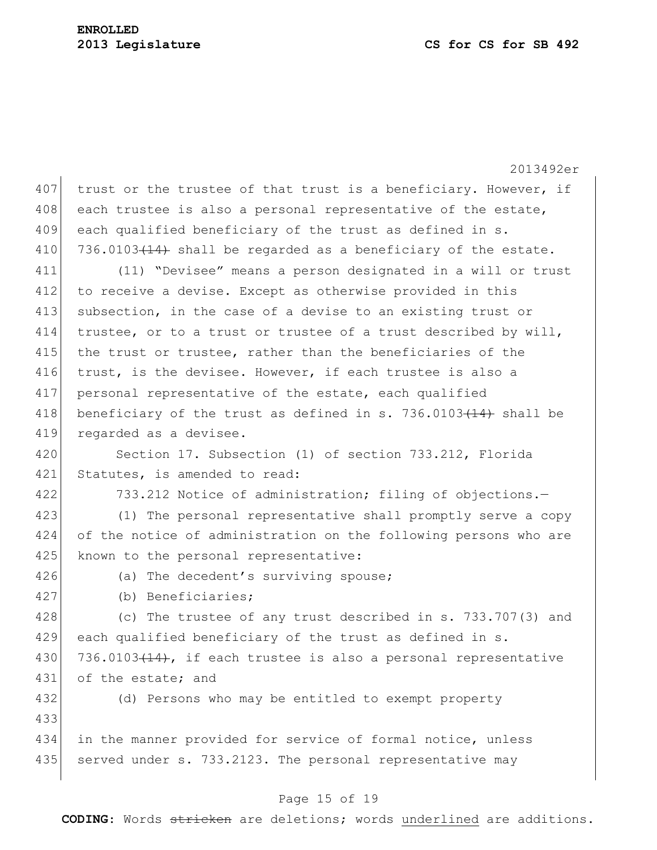2013492er 407 trust or the trustee of that trust is a beneficiary. However, if 408 each trustee is also a personal representative of the estate, 409 each qualified beneficiary of the trust as defined in s. 410 736.0103 $(14)$  shall be regarded as a beneficiary of the estate. 411 (11) "Devisee" means a person designated in a will or trust 412 to receive a devise. Except as otherwise provided in this 413 subsection, in the case of a devise to an existing trust or 414 trustee, or to a trust or trustee of a trust described by will, 415 the trust or trustee, rather than the beneficiaries of the 416 trust, is the devisee. However, if each trustee is also a 417 personal representative of the estate, each qualified 418 beneficiary of the trust as defined in s. 736.0103 $(14)$  shall be 419 regarded as a devisee. 420 Section 17. Subsection (1) of section 733.212, Florida 421 Statutes, is amended to read: 422 733.212 Notice of administration; filing of objections.— 423 (1) The personal representative shall promptly serve a copy 424 of the notice of administration on the following persons who are 425 known to the personal representative: 426 (a) The decedent's surviving spouse; 427 (b) Beneficiaries; 428 (c) The trustee of any trust described in s. 733.707(3) and 429 each qualified beneficiary of the trust as defined in s. 430  $|736.0103(14)$ , if each trustee is also a personal representative 431 of the estate; and 432 (d) Persons who may be entitled to exempt property 433 434 in the manner provided for service of formal notice, unless 435 served under s. 733.2123. The personal representative may

## Page 15 of 19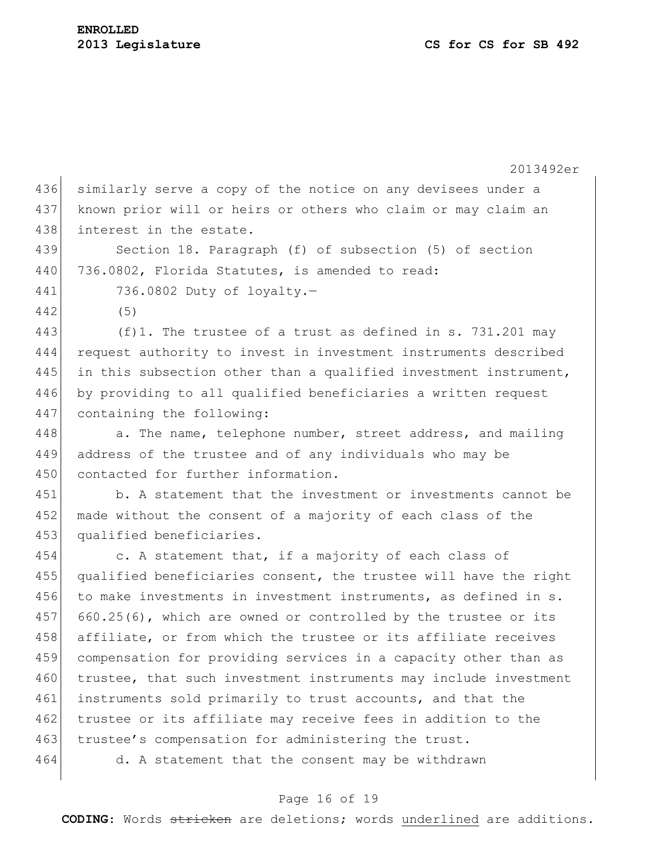2013492er 436 similarly serve a copy of the notice on any devisees under a 437 known prior will or heirs or others who claim or may claim an 438 interest in the estate. 439 Section 18. Paragraph (f) of subsection (5) of section 440 736.0802, Florida Statutes, is amended to read: 441 736.0802 Duty of loyalty.— 442 (5) 443 (f)1. The trustee of a trust as defined in s. 731.201 may 444 request authority to invest in investment instruments described 445 in this subsection other than a qualified investment instrument, 446 by providing to all qualified beneficiaries a written request 447 containing the following: 448 a. The name, telephone number, street address, and mailing 449 address of the trustee and of any individuals who may be 450 contacted for further information. 451 b. A statement that the investment or investments cannot be 452 made without the consent of a majority of each class of the 453 qualified beneficiaries. 454 c. A statement that, if a majority of each class of 455 qualified beneficiaries consent, the trustee will have the right 456 to make investments in investment instruments, as defined in s. 457 660.25(6), which are owned or controlled by the trustee or its 458 affiliate, or from which the trustee or its affiliate receives 459 compensation for providing services in a capacity other than as 460 trustee, that such investment instruments may include investment 461 instruments sold primarily to trust accounts, and that the 462 trustee or its affiliate may receive fees in addition to the 463 trustee's compensation for administering the trust. 464 d. A statement that the consent may be withdrawn

## Page 16 of 19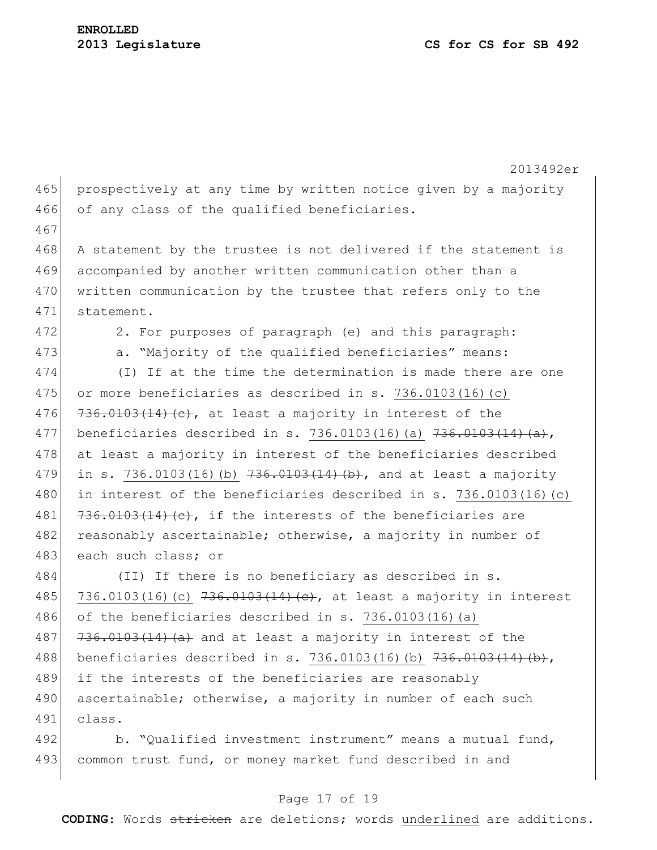2013492er 465 prospectively at any time by written notice given by a majority 466 of any class of the qualified beneficiaries. 467 468 A statement by the trustee is not delivered if the statement is 469 accompanied by another written communication other than a 470 written communication by the trustee that refers only to the 471 statement. 472 2. For purposes of paragraph (e) and this paragraph: 473 a. "Majority of the qualified beneficiaries" means: 474 (I) If at the time the determination is made there are one 475 or more beneficiaries as described in s. 736.0103(16)(c) 476  $736.0103(14)(e)$ , at least a majority in interest of the 477 beneficiaries described in s. 736.0103(16)(a)  $736.0103(1)$ 478 at least a majority in interest of the beneficiaries described 479 in s. 736.0103(16)(b)  $736.0103(1)$ 480 in interest of the beneficiaries described in s. 736.0103(16)(c) 481  $\left[736.0103(14)(e),\right]$  if the interests of the beneficiaries are 482 reasonably ascertainable; otherwise, a majority in number of 483 each such class; or 484 (II) If there is no beneficiary as described in s. 485 736.0103(16)(c) 736.0103(14)(e), at least a majority in interest 486 of the beneficiaries described in s. 736.0103(16)(a) 487  $\left| \frac{736.0103(14)}{256.0103(14)} \right|$  and at least a majority in interest of the 488 beneficiaries described in s. 736.0103(16)(b) 736.0103(14)(b), 489 if the interests of the beneficiaries are reasonably 490 ascertainable; otherwise, a majority in number of each such 491 class. 492 b. "Qualified investment instrument" means a mutual fund, 493 common trust fund, or money market fund described in and

#### Page 17 of 19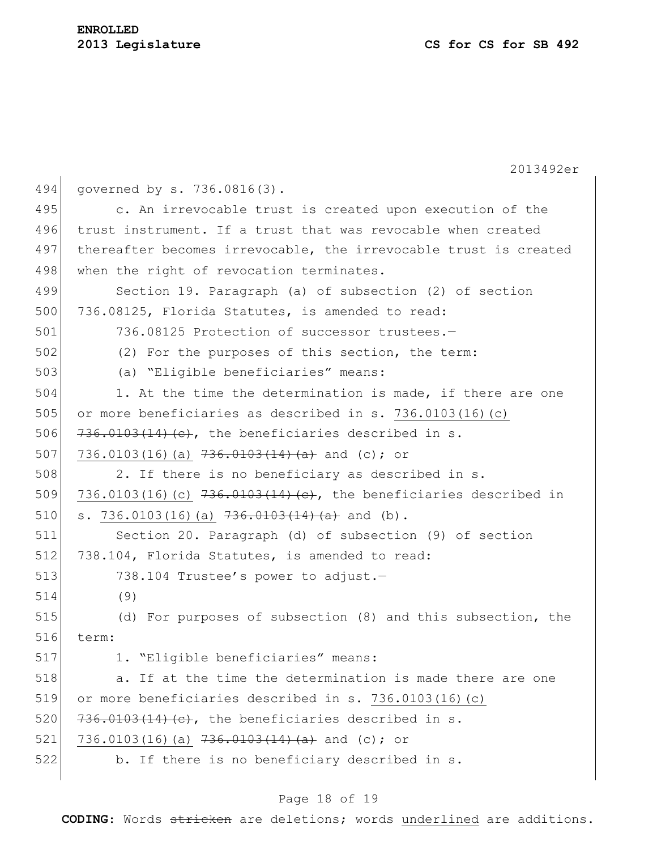# **ENROLLED**

2013492er 494 governed by s. 736.0816(3). 495 c. An irrevocable trust is created upon execution of the 496 trust instrument. If a trust that was revocable when created 497 thereafter becomes irrevocable, the irrevocable trust is created 498 when the right of revocation terminates. 499 Section 19. Paragraph (a) of subsection (2) of section 500 736.08125, Florida Statutes, is amended to read: 501 736.08125 Protection of successor trustees.— 502 (2) For the purposes of this section, the term: 503 (a) "Eligible beneficiaries" means: 504 1. At the time the determination is made, if there are one 505 or more beneficiaries as described in s. 736.0103(16)(c) 506  $736.0103(14)(e),$  the beneficiaries described in s. 507 736.0103(16)(a)  $736.0103(16)$  and (c); or  $508$  2. If there is no beneficiary as described in s. 509 736.0103(16)(c)  $736.0103(16)$   $(29.0103(14)(e),$  the beneficiaries described in 510 s. 736.0103(16)(a)  $736.0103(1)$ . 511 Section 20. Paragraph (d) of subsection (9) of section 512 738.104, Florida Statutes, is amended to read: 513 738.104 Trustee's power to adjust. 514 (9) 515 (d) For purposes of subsection (8) and this subsection, the 516 term: 517 1. "Eligible beneficiaries" means: 518 **10.** The the time the determination is made there are one 519 or more beneficiaries described in s. 736.0103(16)(c) 520  $736.0103(14)(e)$ , the beneficiaries described in s. 521 736.0103(16)(a)  $736.0103(16)$ 522 b. If there is no beneficiary described in s.

## Page 18 of 19